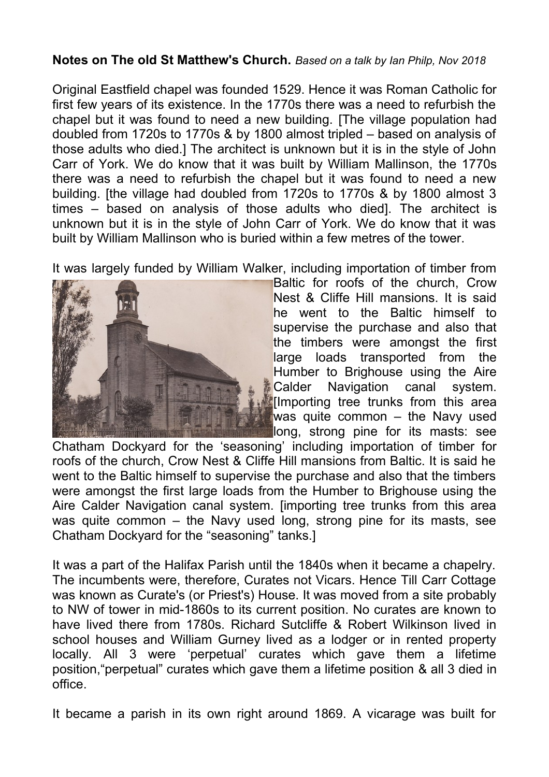## **Notes on The old St Matthew's Church.** *Based on a talk by Ian Philp, Nov 2018*

Original Eastfield chapel was founded 1529. Hence it was Roman Catholic for first few years of its existence. In the 1770s there was a need to refurbish the chapel but it was found to need a new building. [The village population had doubled from 1720s to 1770s & by 1800 almost tripled – based on analysis of those adults who died.] The architect is unknown but it is in the style of John Carr of York. We do know that it was built by William Mallinson, the 1770s there was a need to refurbish the chapel but it was found to need a new building. [the village had doubled from 1720s to 1770s & by 1800 almost 3 times – based on analysis of those adults who died]. The architect is unknown but it is in the style of John Carr of York. We do know that it was built by William Mallinson who is buried within a few metres of the tower.

It was largely funded by William Walker, including importation of timber from



Baltic for roofs of the church, Crow Nest & Cliffe Hill mansions. It is said he went to the Baltic himself to supervise the purchase and also that the timbers were amongst the first large loads transported from the Humber to Brighouse using the Aire Calder Navigation canal system. [Importing tree trunks from this area was quite common – the Navy used long, strong pine for its masts: see

Chatham Dockyard for the 'seasoning' including importation of timber for roofs of the church, Crow Nest & Cliffe Hill mansions from Baltic. It is said he went to the Baltic himself to supervise the purchase and also that the timbers were amongst the first large loads from the Humber to Brighouse using the Aire Calder Navigation canal system. [importing tree trunks from this area was quite common – the Navy used long, strong pine for its masts, see Chatham Dockyard for the "seasoning" tanks.]

It was a part of the Halifax Parish until the 1840s when it became a chapelry. The incumbents were, therefore, Curates not Vicars. Hence Till Carr Cottage was known as Curate's (or Priest's) House. It was moved from a site probably to NW of tower in mid-1860s to its current position. No curates are known to have lived there from 1780s. Richard Sutcliffe & Robert Wilkinson lived in school houses and William Gurney lived as a lodger or in rented property locally. All 3 were 'perpetual' curates which gave them a lifetime position,"perpetual" curates which gave them a lifetime position & all 3 died in office.

It became a parish in its own right around 1869. A vicarage was built for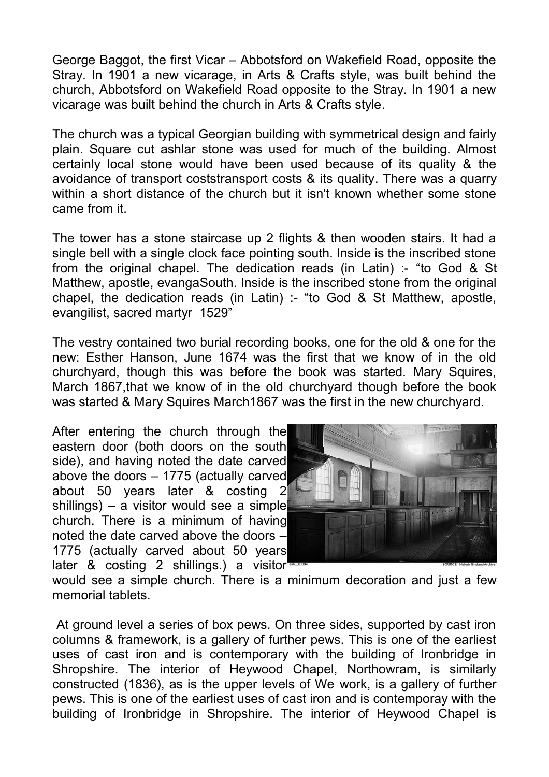George Baggot, the first Vicar – Abbotsford on Wakefield Road, opposite the Stray. In 1901 a new vicarage, in Arts & Crafts style, was built behind the church, Abbotsford on Wakefield Road opposite to the Stray. In 1901 a new vicarage was built behind the church in Arts & Crafts style.

The church was a typical Georgian building with symmetrical design and fairly plain. Square cut ashlar stone was used for much of the building. Almost certainly local stone would have been used because of its quality & the avoidance of transport coststransport costs & its quality. There was a quarry within a short distance of the church but it isn't known whether some stone came from it.

The tower has a stone staircase up 2 flights & then wooden stairs. It had a single bell with a single clock face pointing south. Inside is the inscribed stone from the original chapel. The dedication reads (in Latin) :- "to God & St Matthew, apostle, evangaSouth. Inside is the inscribed stone from the original chapel, the dedication reads (in Latin) :- "to God & St Matthew, apostle, evangilist, sacred martyr 1529"

The vestry contained two burial recording books, one for the old & one for the new: Esther Hanson, June 1674 was the first that we know of in the old churchyard, though this was before the book was started. Mary Squires, March 1867,that we know of in the old churchyard though before the book was started & Mary Squires March1867 was the first in the new churchyard.

After entering the church through the eastern door (both doors on the south side), and having noted the date carved above the doors – 1775 (actually carved about 50 years later & costing 2 shillings) – a visitor would see a simple church. There is a minimum of having noted the date carved above the doors – 1775 (actually carved about 50 years later & costing 2 shillings.) a visitor



would see a simple church. There is a minimum decoration and just a few memorial tablets.

 At ground level a series of box pews. On three sides, supported by cast iron columns & framework, is a gallery of further pews. This is one of the earliest uses of cast iron and is contemporary with the building of Ironbridge in Shropshire. The interior of Heywood Chapel, Northowram, is similarly constructed (1836), as is the upper levels of We work, is a gallery of further pews. This is one of the earliest uses of cast iron and is contemporay with the building of Ironbridge in Shropshire. The interior of Heywood Chapel is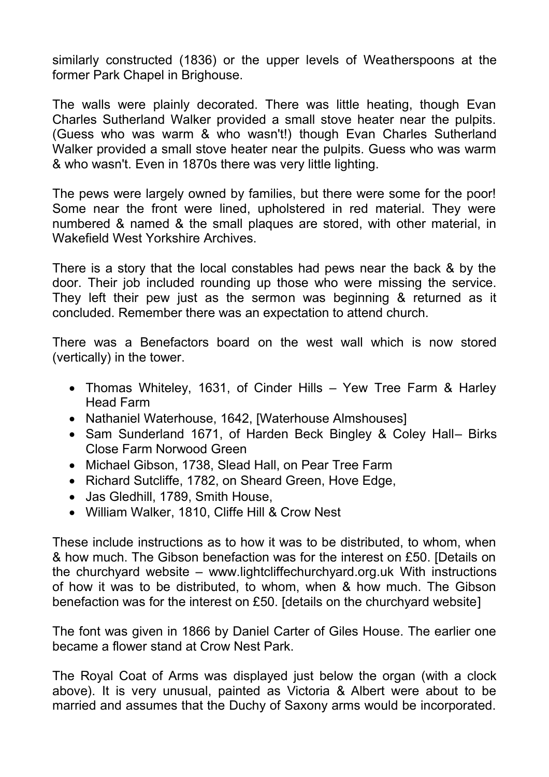similarly constructed (1836) or the upper levels of Weatherspoons at the former Park Chapel in Brighouse.

The walls were plainly decorated. There was little heating, though Evan Charles Sutherland Walker provided a small stove heater near the pulpits. (Guess who was warm & who wasn't!) though Evan Charles Sutherland Walker provided a small stove heater near the pulpits. Guess who was warm & who wasn't. Even in 1870s there was very little lighting.

The pews were largely owned by families, but there were some for the poor! Some near the front were lined, upholstered in red material. They were numbered & named & the small plaques are stored, with other material, in Wakefield West Yorkshire Archives.

There is a story that the local constables had pews near the back & by the door. Their job included rounding up those who were missing the service. They left their pew just as the sermon was beginning & returned as it concluded. Remember there was an expectation to attend church.

There was a Benefactors board on the west wall which is now stored (vertically) in the tower.

- Thomas Whiteley, 1631, of Cinder Hills Yew Tree Farm & Harley Head Farm
- Nathaniel Waterhouse, 1642, [Waterhouse Almshouses]
- Sam Sunderland 1671, of Harden Beck Bingley & Coley Hall– Birks Close Farm Norwood Green
- Michael Gibson, 1738, Slead Hall, on Pear Tree Farm
- Richard Sutcliffe, 1782, on Sheard Green, Hove Edge,
- Jas Gledhill, 1789, Smith House,
- William Walker, 1810, Cliffe Hill & Crow Nest

These include instructions as to how it was to be distributed, to whom, when & how much. The Gibson benefaction was for the interest on £50. [Details on the churchyard website – [www.lightcliffechurchyard.org.uk](http://www.lightcliffechurchyard.org.uk/) With instructions of how it was to be distributed, to whom, when & how much. The Gibson benefaction was for the interest on £50. [details on the churchyard website]

The font was given in 1866 by Daniel Carter of Giles House. The earlier one became a flower stand at Crow Nest Park.

The Royal Coat of Arms was displayed just below the organ (with a clock above). It is very unusual, painted as Victoria & Albert were about to be married and assumes that the Duchy of Saxony arms would be incorporated.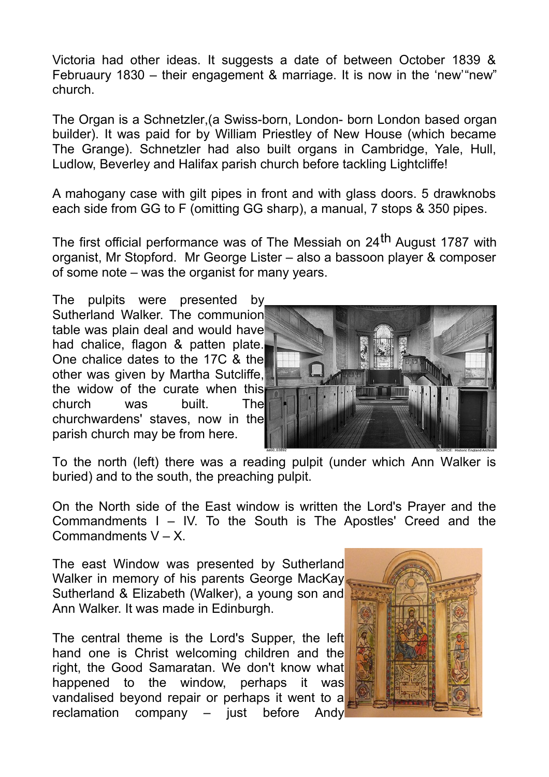Victoria had other ideas. It suggests a date of between October 1839 & Februaury 1830 – their engagement & marriage. It is now in the 'new'"new" church.

The Organ is a Schnetzler,(a Swiss-born, London- born London based organ builder). It was paid for by William Priestley of New House (which became The Grange). Schnetzler had also built organs in Cambridge, Yale, Hull, Ludlow, Beverley and Halifax parish church before tackling Lightcliffe!

A mahogany case with gilt pipes in front and with glass doors. 5 drawknobs each side from GG to F (omitting GG sharp), a manual, 7 stops & 350 pipes.

The first official performance was of The Messiah on 24<sup>th</sup> August 1787 with organist, Mr Stopford. Mr George Lister – also a bassoon player & composer of some note – was the organist for many years.

The pulpits were presented by Sutherland Walker. The communion table was plain deal and would have had chalice, flagon & patten plate. One chalice dates to the 17C & the other was given by Martha Sutcliffe, the widow of the curate when this church was built. The churchwardens' staves, now in the parish church may be from here.



To the north (left) there was a reading pulpit (under which Ann Walker is buried) and to the south, the preaching pulpit.

On the North side of the East window is written the Lord's Prayer and the Commandments I – IV. To the South is The Apostles' Creed and the Commandments  $V - X$ .

The east Window was presented by Sutherland Walker in memory of his parents George MacKay Sutherland & Elizabeth (Walker), a young son and Ann Walker. It was made in Edinburgh.

The central theme is the Lord's Supper, the left hand one is Christ welcoming children and the right, the Good Samaratan. We don't know what happened to the window, perhaps it was vandalised beyond repair or perhaps it went to a reclamation company – just before Andy